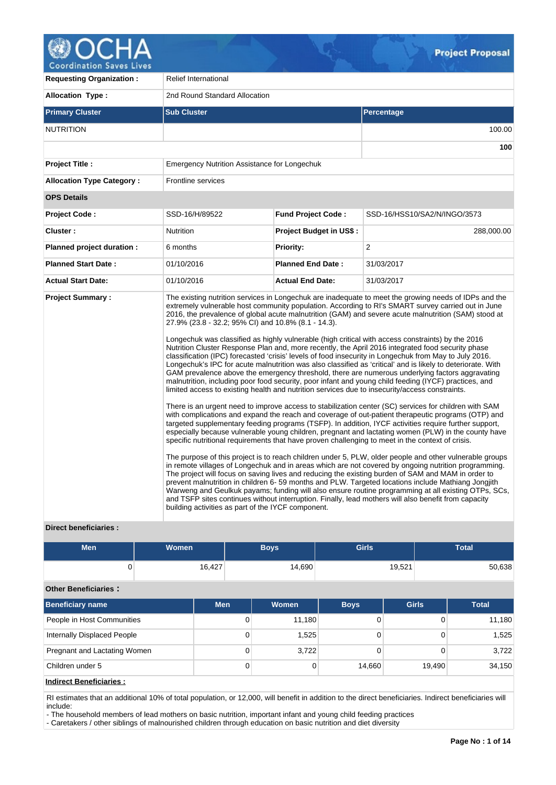

**Coordination Saves Lives Requesting Organization : Relief International** 

| <b>Allocation Type:</b>          | 2nd Round Standard Allocation                                                                                                                                                                               |                                |                                                                                                                                                                                                                                                                                                                                                                                                                                                                                                                                                                                                                                                                                                                                                                                                                                                                                                                                                                                                                                                                                                                                                                                                                                                                                                                                                                                                                                                                                                                                                                                                                                                                                                                                                                                                                                                                                                                                                                                                                                                                                                                                                     |  |  |  |  |  |  |  |
|----------------------------------|-------------------------------------------------------------------------------------------------------------------------------------------------------------------------------------------------------------|--------------------------------|-----------------------------------------------------------------------------------------------------------------------------------------------------------------------------------------------------------------------------------------------------------------------------------------------------------------------------------------------------------------------------------------------------------------------------------------------------------------------------------------------------------------------------------------------------------------------------------------------------------------------------------------------------------------------------------------------------------------------------------------------------------------------------------------------------------------------------------------------------------------------------------------------------------------------------------------------------------------------------------------------------------------------------------------------------------------------------------------------------------------------------------------------------------------------------------------------------------------------------------------------------------------------------------------------------------------------------------------------------------------------------------------------------------------------------------------------------------------------------------------------------------------------------------------------------------------------------------------------------------------------------------------------------------------------------------------------------------------------------------------------------------------------------------------------------------------------------------------------------------------------------------------------------------------------------------------------------------------------------------------------------------------------------------------------------------------------------------------------------------------------------------------------------|--|--|--|--|--|--|--|
| <b>Primary Cluster</b>           | <b>Sub Cluster</b>                                                                                                                                                                                          |                                | Percentage                                                                                                                                                                                                                                                                                                                                                                                                                                                                                                                                                                                                                                                                                                                                                                                                                                                                                                                                                                                                                                                                                                                                                                                                                                                                                                                                                                                                                                                                                                                                                                                                                                                                                                                                                                                                                                                                                                                                                                                                                                                                                                                                          |  |  |  |  |  |  |  |
| <b>NUTRITION</b>                 |                                                                                                                                                                                                             |                                | 100.00                                                                                                                                                                                                                                                                                                                                                                                                                                                                                                                                                                                                                                                                                                                                                                                                                                                                                                                                                                                                                                                                                                                                                                                                                                                                                                                                                                                                                                                                                                                                                                                                                                                                                                                                                                                                                                                                                                                                                                                                                                                                                                                                              |  |  |  |  |  |  |  |
|                                  |                                                                                                                                                                                                             |                                | 100                                                                                                                                                                                                                                                                                                                                                                                                                                                                                                                                                                                                                                                                                                                                                                                                                                                                                                                                                                                                                                                                                                                                                                                                                                                                                                                                                                                                                                                                                                                                                                                                                                                                                                                                                                                                                                                                                                                                                                                                                                                                                                                                                 |  |  |  |  |  |  |  |
| <b>Project Title:</b>            | Emergency Nutrition Assistance for Longechuk                                                                                                                                                                |                                |                                                                                                                                                                                                                                                                                                                                                                                                                                                                                                                                                                                                                                                                                                                                                                                                                                                                                                                                                                                                                                                                                                                                                                                                                                                                                                                                                                                                                                                                                                                                                                                                                                                                                                                                                                                                                                                                                                                                                                                                                                                                                                                                                     |  |  |  |  |  |  |  |
| <b>Allocation Type Category:</b> | <b>Frontline services</b>                                                                                                                                                                                   |                                |                                                                                                                                                                                                                                                                                                                                                                                                                                                                                                                                                                                                                                                                                                                                                                                                                                                                                                                                                                                                                                                                                                                                                                                                                                                                                                                                                                                                                                                                                                                                                                                                                                                                                                                                                                                                                                                                                                                                                                                                                                                                                                                                                     |  |  |  |  |  |  |  |
| <b>OPS Details</b>               |                                                                                                                                                                                                             |                                |                                                                                                                                                                                                                                                                                                                                                                                                                                                                                                                                                                                                                                                                                                                                                                                                                                                                                                                                                                                                                                                                                                                                                                                                                                                                                                                                                                                                                                                                                                                                                                                                                                                                                                                                                                                                                                                                                                                                                                                                                                                                                                                                                     |  |  |  |  |  |  |  |
| <b>Project Code:</b>             | SSD-16/H/89522                                                                                                                                                                                              | <b>Fund Project Code:</b>      | SSD-16/HSS10/SA2/N/INGO/3573                                                                                                                                                                                                                                                                                                                                                                                                                                                                                                                                                                                                                                                                                                                                                                                                                                                                                                                                                                                                                                                                                                                                                                                                                                                                                                                                                                                                                                                                                                                                                                                                                                                                                                                                                                                                                                                                                                                                                                                                                                                                                                                        |  |  |  |  |  |  |  |
| Cluster:                         | Nutrition                                                                                                                                                                                                   | <b>Project Budget in US\$:</b> | 288,000.00                                                                                                                                                                                                                                                                                                                                                                                                                                                                                                                                                                                                                                                                                                                                                                                                                                                                                                                                                                                                                                                                                                                                                                                                                                                                                                                                                                                                                                                                                                                                                                                                                                                                                                                                                                                                                                                                                                                                                                                                                                                                                                                                          |  |  |  |  |  |  |  |
| Planned project duration :       | 6 months                                                                                                                                                                                                    | <b>Priority:</b>               | $\overline{2}$                                                                                                                                                                                                                                                                                                                                                                                                                                                                                                                                                                                                                                                                                                                                                                                                                                                                                                                                                                                                                                                                                                                                                                                                                                                                                                                                                                                                                                                                                                                                                                                                                                                                                                                                                                                                                                                                                                                                                                                                                                                                                                                                      |  |  |  |  |  |  |  |
| <b>Planned Start Date:</b>       | 01/10/2016                                                                                                                                                                                                  | <b>Planned End Date:</b>       | 31/03/2017                                                                                                                                                                                                                                                                                                                                                                                                                                                                                                                                                                                                                                                                                                                                                                                                                                                                                                                                                                                                                                                                                                                                                                                                                                                                                                                                                                                                                                                                                                                                                                                                                                                                                                                                                                                                                                                                                                                                                                                                                                                                                                                                          |  |  |  |  |  |  |  |
| <b>Actual Start Date:</b>        | 01/10/2016                                                                                                                                                                                                  | <b>Actual End Date:</b>        | 31/03/2017                                                                                                                                                                                                                                                                                                                                                                                                                                                                                                                                                                                                                                                                                                                                                                                                                                                                                                                                                                                                                                                                                                                                                                                                                                                                                                                                                                                                                                                                                                                                                                                                                                                                                                                                                                                                                                                                                                                                                                                                                                                                                                                                          |  |  |  |  |  |  |  |
| <b>Project Summary:</b>          | 27.9% (23.8 - 32.2; 95% CI) and 10.8% (8.1 - 14.3).<br>limited access to existing health and nutrition services due to insecurity/access constraints.<br>building activities as part of the IYCF component. |                                | The existing nutrition services in Longechuk are inadequate to meet the growing needs of IDPs and the<br>extremely vulnerable host community population. According to RI's SMART survey carried out in June<br>2016, the prevalence of global acute malnutrition (GAM) and severe acute malnutrition (SAM) stood at<br>Longechuk was classified as highly vulnerable (high critical with access constraints) by the 2016<br>Nutrition Cluster Response Plan and, more recently, the April 2016 integrated food security phase<br>classification (IPC) forecasted 'crisis' levels of food insecurity in Longechuk from May to July 2016.<br>Longechuk's IPC for acute malnutrition was also classified as 'critical' and is likely to deteriorate. With<br>GAM prevalence above the emergency threshold, there are numerous underlying factors aggravating<br>malnutrition, including poor food security, poor infant and young child feeding (IYCF) practices, and<br>There is an urgent need to improve access to stabilization center (SC) services for children with SAM<br>with complications and expand the reach and coverage of out-patient therapeutic programs (OTP) and<br>targeted supplementary feeding programs (TSFP). In addition, IYCF activities require further support,<br>especially because vulnerable young children, pregnant and lactating women (PLW) in the county have<br>specific nutritional requirements that have proven challenging to meet in the context of crisis.<br>The purpose of this project is to reach children under 5, PLW, older people and other vulnerable groups<br>in remote villages of Longechuk and in areas which are not covered by ongoing nutrition programming.<br>The project will focus on saving lives and reducing the existing burden of SAM and MAM in order to<br>prevent malnutrition in children 6-59 months and PLW. Targeted locations include Mathiang Jongjith<br>Warweng and Geulkuk payams; funding will also ensure routine programming at all existing OTPs, SCs,<br>and TSFP sites continues without interruption. Finally, lead mothers will also benefit from capacity |  |  |  |  |  |  |  |

## **Direct beneficiaries :**

| <b>Men</b>                  | Women |            | <b>Boys</b> | <b>Girls</b> |              | <b>Total</b> |
|-----------------------------|-------|------------|-------------|--------------|--------------|--------------|
| 0                           |       | 16,427     | 14,690      |              | 19,521       | 50,638       |
| <b>Other Beneficiaries:</b> |       |            |             |              |              |              |
| <b>Beneficiary name</b>     |       | <b>Men</b> | Women       | <b>Boys</b>  | <b>Girls</b> | <b>Total</b> |
| People in Host Communities  |       | 0          | 11,180      | 0            |              | 11,180       |

| ladisaat Danafialasiaa :     |   |       |        |        |        |
|------------------------------|---|-------|--------|--------|--------|
| Children under 5             |   |       | 14.660 | 19.490 | 34,150 |
| Pregnant and Lactating Women |   | 3,722 |        |        | 3,722  |
| Internally Displaced People  |   | .525  |        |        | 1,525  |
|                              | ັ | .     | .      | ັ      | .      |

**Indirect Beneficiaries :**

RI estimates that an additional 10% of total population, or 12,000, will benefit in addition to the direct beneficiaries. Indirect beneficiaries will include:

- The household members of lead mothers on basic nutrition, important infant and young child feeding practices

- Caretakers / other siblings of malnourished children through education on basic nutrition and diet diversity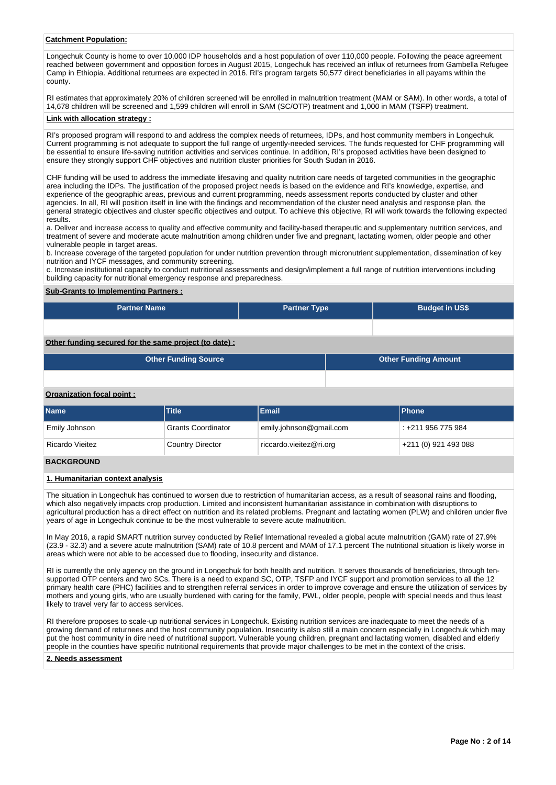### **Catchment Population:**

Longechuk County is home to over 10,000 IDP households and a host population of over 110,000 people. Following the peace agreement reached between government and opposition forces in August 2015, Longechuk has received an influx of returnees from Gambella Refugee Camp in Ethiopia. Additional returnees are expected in 2016. RI's program targets 50,577 direct beneficiaries in all payams within the county.

RI estimates that approximately 20% of children screened will be enrolled in malnutrition treatment (MAM or SAM). In other words, a total of 14,678 children will be screened and 1,599 children will enroll in SAM (SC/OTP) treatment and 1,000 in MAM (TSFP) treatment.

## **Link with allocation strategy :**

RI's proposed program will respond to and address the complex needs of returnees, IDPs, and host community members in Longechuk. Current programming is not adequate to support the full range of urgently-needed services. The funds requested for CHF programming will be essential to ensure life-saving nutrition activities and services continue. In addition, RI's proposed activities have been designed to ensure they strongly support CHF objectives and nutrition cluster priorities for South Sudan in 2016.

CHF funding will be used to address the immediate lifesaving and quality nutrition care needs of targeted communities in the geographic area including the IDPs. The justification of the proposed project needs is based on the evidence and RI's knowledge, expertise, and experience of the geographic areas, previous and current programming, needs assessment reports conducted by cluster and other agencies. In all, RI will position itself in line with the findings and recommendation of the cluster need analysis and response plan, the general strategic objectives and cluster specific objectives and output. To achieve this objective, RI will work towards the following expected results.

a. Deliver and increase access to quality and effective community and facility-based therapeutic and supplementary nutrition services, and treatment of severe and moderate acute malnutrition among children under five and pregnant, lactating women, older people and other vulnerable people in target areas.

b. Increase coverage of the targeted population for under nutrition prevention through micronutrient supplementation, dissemination of key nutrition and IYCF messages, and community screening.

c. Increase institutional capacity to conduct nutritional assessments and design/implement a full range of nutrition interventions including building capacity for nutritional emergency response and preparedness.

### **Sub-Grants to Implementing Partners :**

| <b>Partner Name</b> | <b>Partner Type</b> | <b>Budget in US\$</b> |
|---------------------|---------------------|-----------------------|
|                     |                     |                       |

# **Other funding secured for the same project (to date) :**

| <b>Other Funding Source</b> | <b>Other Funding Amount</b> |
|-----------------------------|-----------------------------|
|                             |                             |

### **Organization focal point :**

| <b>Name</b>            | <b>Title</b>              | Email                   | <b>IPhone</b>        |
|------------------------|---------------------------|-------------------------|----------------------|
| Emily Johnson          | <b>Grants Coordinator</b> | emily.johnson@gmail.com | : +211 956 775 984   |
| <b>Ricardo Vieitez</b> | <b>Country Director</b>   | riccardo.vieitez@ri.org | +211 (0) 921 493 088 |

### **BACKGROUND**

### **1. Humanitarian context analysis**

The situation in Longechuk has continued to worsen due to restriction of humanitarian access, as a result of seasonal rains and flooding, which also negatively impacts crop production. Limited and inconsistent humanitarian assistance in combination with disruptions to agricultural production has a direct effect on nutrition and its related problems. Pregnant and lactating women (PLW) and children under five years of age in Longechuk continue to be the most vulnerable to severe acute malnutrition.

In May 2016, a rapid SMART nutrition survey conducted by Relief International revealed a global acute malnutrition (GAM) rate of 27.9% (23.9 - 32.3) and a severe acute malnutrition (SAM) rate of 10.8 percent and MAM of 17.1 percent The nutritional situation is likely worse in areas which were not able to be accessed due to flooding, insecurity and distance.

RI is currently the only agency on the ground in Longechuk for both health and nutrition. It serves thousands of beneficiaries, through tensupported OTP centers and two SCs. There is a need to expand SC, OTP, TSFP and IYCF support and promotion services to all the 12 primary health care (PHC) facilities and to strengthen referral services in order to improve coverage and ensure the utilization of services by mothers and young girls, who are usually burdened with caring for the family, PWL, older people, people with special needs and thus least likely to travel very far to access services.

RI therefore proposes to scale-up nutritional services in Longechuk. Existing nutrition services are inadequate to meet the needs of a growing demand of returnees and the host community population. Insecurity is also still a main concern especially in Longechuk which may put the host community in dire need of nutritional support. Vulnerable young children, pregnant and lactating women, disabled and elderly people in the counties have specific nutritional requirements that provide major challenges to be met in the context of the crisis.

## **2. Needs assessment**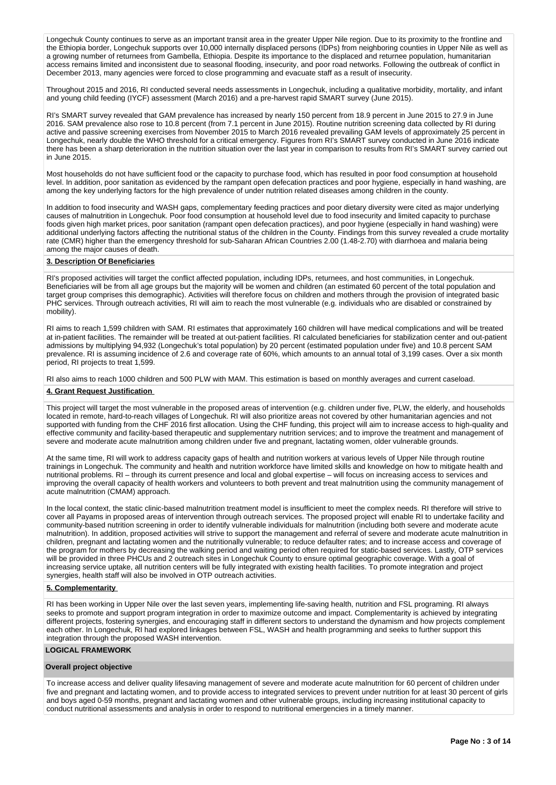Longechuk County continues to serve as an important transit area in the greater Upper Nile region. Due to its proximity to the frontline and the Ethiopia border, Longechuk supports over 10,000 internally displaced persons (IDPs) from neighboring counties in Upper Nile as well as a growing number of returnees from Gambella, Ethiopia. Despite its importance to the displaced and returnee population, humanitarian access remains limited and inconsistent due to seasonal flooding, insecurity, and poor road networks. Following the outbreak of conflict in December 2013, many agencies were forced to close programming and evacuate staff as a result of insecurity.

Throughout 2015 and 2016, RI conducted several needs assessments in Longechuk, including a qualitative morbidity, mortality, and infant and young child feeding (IYCF) assessment (March 2016) and a pre-harvest rapid SMART survey (June 2015).

RI's SMART survey revealed that GAM prevalence has increased by nearly 150 percent from 18.9 percent in June 2015 to 27.9 in June 2016. SAM prevalence also rose to 10.8 percent (from 7.1 percent in June 2015). Routine nutrition screening data collected by RI during active and passive screening exercises from November 2015 to March 2016 revealed prevailing GAM levels of approximately 25 percent in Longechuk, nearly double the WHO threshold for a critical emergency. Figures from RI's SMART survey conducted in June 2016 indicate there has been a sharp deterioration in the nutrition situation over the last year in comparison to results from RI's SMART survey carried out in June 2015.

Most households do not have sufficient food or the capacity to purchase food, which has resulted in poor food consumption at household level. In addition, poor sanitation as evidenced by the rampant open defecation practices and poor hygiene, especially in hand washing, are among the key underlying factors for the high prevalence of under nutrition related diseases among children in the county.

In addition to food insecurity and WASH gaps, complementary feeding practices and poor dietary diversity were cited as major underlying causes of malnutrition in Longechuk. Poor food consumption at household level due to food insecurity and limited capacity to purchase foods given high market prices, poor sanitation (rampant open defecation practices), and poor hygiene (especially in hand washing) were additional underlying factors affecting the nutritional status of the children in the County. Findings from this survey revealed a crude mortality rate (CMR) higher than the emergency threshold for sub-Saharan African Countries 2.00 (1.48-2.70) with diarrhoea and malaria being among the major causes of death.

### **3. Description Of Beneficiaries**

RI's proposed activities will target the conflict affected population, including IDPs, returnees, and host communities, in Longechuk. Beneficiaries will be from all age groups but the majority will be women and children (an estimated 60 percent of the total population and target group comprises this demographic). Activities will therefore focus on children and mothers through the provision of integrated basic PHC services. Through outreach activities, RI will aim to reach the most vulnerable (e.g. individuals who are disabled or constrained by mobility).

RI aims to reach 1,599 children with SAM. RI estimates that approximately 160 children will have medical complications and will be treated at in-patient facilities. The remainder will be treated at out-patient facilities. RI calculated beneficiaries for stabilization center and out-patient admissions by multiplying 94,932 (Longechuk's total population) by 20 percent (estimated population under five) and 10.8 percent SAM prevalence. RI is assuming incidence of 2.6 and coverage rate of 60%, which amounts to an annual total of 3,199 cases. Over a six month period, RI projects to treat 1,599.

RI also aims to reach 1000 children and 500 PLW with MAM. This estimation is based on monthly averages and current caseload.

### **4. Grant Request Justification**

This project will target the most vulnerable in the proposed areas of intervention (e.g. children under five, PLW, the elderly, and households located in remote, hard-to-reach villages of Longechuk. RI will also prioritize areas not covered by other humanitarian agencies and not supported with funding from the CHF 2016 first allocation. Using the CHF funding, this project will aim to increase access to high-quality and effective community and facility-based therapeutic and supplementary nutrition services; and to improve the treatment and management of severe and moderate acute malnutrition among children under five and pregnant, lactating women, older vulnerable grounds.

At the same time, RI will work to address capacity gaps of health and nutrition workers at various levels of Upper Nile through routine trainings in Longechuk. The community and health and nutrition workforce have limited skills and knowledge on how to mitigate health and nutritional problems. RI – through its current presence and local and global expertise – will focus on increasing access to services and improving the overall capacity of health workers and volunteers to both prevent and treat malnutrition using the community management of acute malnutrition (CMAM) approach.

In the local context, the static clinic-based malnutrition treatment model is insufficient to meet the complex needs. RI therefore will strive to cover all Payams in proposed areas of intervention through outreach services. The proposed project will enable RI to undertake facility and community-based nutrition screening in order to identify vulnerable individuals for malnutrition (including both severe and moderate acute malnutrition). In addition, proposed activities will strive to support the management and referral of severe and moderate acute malnutrition in children, pregnant and lactating women and the nutritionally vulnerable; to reduce defaulter rates; and to increase access and coverage of the program for mothers by decreasing the walking period and waiting period often required for static-based services. Lastly, OTP services will be provided in three PHCUs and 2 outreach sites in Longechuk County to ensure optimal geographic coverage. With a goal of increasing service uptake, all nutrition centers will be fully integrated with existing health facilities. To promote integration and project synergies, health staff will also be involved in OTP outreach activities.

## **5. Complementarity**

RI has been working in Upper Nile over the last seven years, implementing life-saving health, nutrition and FSL programing. RI always seeks to promote and support program integration in order to maximize outcome and impact. Complementarity is achieved by integrating different projects, fostering synergies, and encouraging staff in different sectors to understand the dynamism and how projects complement each other. In Longechuk, RI had explored linkages between FSL, WASH and health programming and seeks to further support this integration through the proposed WASH intervention.

## **LOGICAL FRAMEWORK**

### **Overall project objective**

To increase access and deliver quality lifesaving management of severe and moderate acute malnutrition for 60 percent of children under five and pregnant and lactating women, and to provide access to integrated services to prevent under nutrition for at least 30 percent of girls and boys aged 0-59 months, pregnant and lactating women and other vulnerable groups, including increasing institutional capacity to conduct nutritional assessments and analysis in order to respond to nutritional emergencies in a timely manner.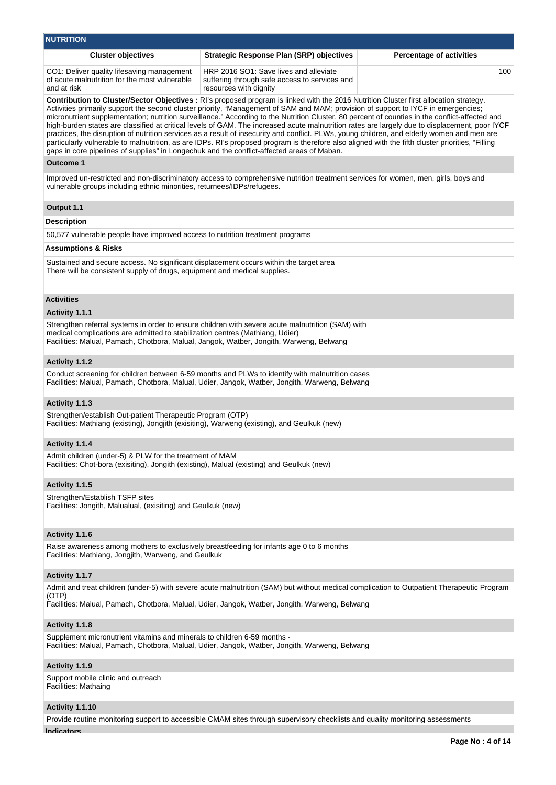| <b>NUTRITION</b>                                                                                                                                                         |                                                                                                                                                                                                                                                                                                                                                                                                                                                                                                                                                                                                                                                                                                                                                                                                                                                                                       |                                 |
|--------------------------------------------------------------------------------------------------------------------------------------------------------------------------|---------------------------------------------------------------------------------------------------------------------------------------------------------------------------------------------------------------------------------------------------------------------------------------------------------------------------------------------------------------------------------------------------------------------------------------------------------------------------------------------------------------------------------------------------------------------------------------------------------------------------------------------------------------------------------------------------------------------------------------------------------------------------------------------------------------------------------------------------------------------------------------|---------------------------------|
| <b>Cluster objectives</b>                                                                                                                                                | <b>Strategic Response Plan (SRP) objectives</b>                                                                                                                                                                                                                                                                                                                                                                                                                                                                                                                                                                                                                                                                                                                                                                                                                                       | <b>Percentage of activities</b> |
| CO1: Deliver quality lifesaving management<br>of acute malnutrition for the most vulnerable<br>and at risk                                                               | HRP 2016 SO1: Save lives and alleviate<br>suffering through safe access to services and<br>resources with dignity                                                                                                                                                                                                                                                                                                                                                                                                                                                                                                                                                                                                                                                                                                                                                                     | 100                             |
| gaps in core pipelines of supplies" in Longechuk and the conflict-affected areas of Maban.                                                                               | Contribution to Cluster/Sector Objectives : RI's proposed program is linked with the 2016 Nutrition Cluster first allocation strategy.<br>Activities primarily support the second cluster priority, "Management of SAM and MAM; provision of support to IYCF in emergencies;<br>micronutrient supplementation; nutrition surveillance." According to the Nutrition Cluster, 80 percent of counties in the conflict-affected and<br>high-burden states are classified at critical levels of GAM. The increased acute malnutrition rates are largely due to displacement, poor IYCF<br>practices, the disruption of nutrition services as a result of insecurity and conflict. PLWs, young children, and elderly women and men are<br>particularly vulnerable to malnutrition, as are IDPs. RI's proposed program is therefore also aligned with the fifth cluster priorities, "Filling |                                 |
| <b>Outcome 1</b>                                                                                                                                                         |                                                                                                                                                                                                                                                                                                                                                                                                                                                                                                                                                                                                                                                                                                                                                                                                                                                                                       |                                 |
| vulnerable groups including ethnic minorities, returnees/IDPs/refugees.                                                                                                  | Improved un-restricted and non-discriminatory access to comprehensive nutrition treatment services for women, men, girls, boys and                                                                                                                                                                                                                                                                                                                                                                                                                                                                                                                                                                                                                                                                                                                                                    |                                 |
| Output 1.1                                                                                                                                                               |                                                                                                                                                                                                                                                                                                                                                                                                                                                                                                                                                                                                                                                                                                                                                                                                                                                                                       |                                 |
| <b>Description</b>                                                                                                                                                       |                                                                                                                                                                                                                                                                                                                                                                                                                                                                                                                                                                                                                                                                                                                                                                                                                                                                                       |                                 |
| 50,577 vulnerable people have improved access to nutrition treatment programs                                                                                            |                                                                                                                                                                                                                                                                                                                                                                                                                                                                                                                                                                                                                                                                                                                                                                                                                                                                                       |                                 |
| <b>Assumptions &amp; Risks</b>                                                                                                                                           |                                                                                                                                                                                                                                                                                                                                                                                                                                                                                                                                                                                                                                                                                                                                                                                                                                                                                       |                                 |
| Sustained and secure access. No significant displacement occurs within the target area<br>There will be consistent supply of drugs, equipment and medical supplies.      |                                                                                                                                                                                                                                                                                                                                                                                                                                                                                                                                                                                                                                                                                                                                                                                                                                                                                       |                                 |
| <b>Activities</b>                                                                                                                                                        |                                                                                                                                                                                                                                                                                                                                                                                                                                                                                                                                                                                                                                                                                                                                                                                                                                                                                       |                                 |
| Activity 1.1.1                                                                                                                                                           |                                                                                                                                                                                                                                                                                                                                                                                                                                                                                                                                                                                                                                                                                                                                                                                                                                                                                       |                                 |
| medical complications are admitted to stabilization centres (Mathiang, Udier)<br>Facilities: Malual, Pamach, Chotbora, Malual, Jangok, Watber, Jongith, Warweng, Belwang | Strengthen referral systems in order to ensure children with severe acute malnutrition (SAM) with                                                                                                                                                                                                                                                                                                                                                                                                                                                                                                                                                                                                                                                                                                                                                                                     |                                 |
| Activity 1.1.2                                                                                                                                                           |                                                                                                                                                                                                                                                                                                                                                                                                                                                                                                                                                                                                                                                                                                                                                                                                                                                                                       |                                 |
|                                                                                                                                                                          | Conduct screening for children between 6-59 months and PLWs to identify with malnutrition cases<br>Facilities: Malual, Pamach, Chotbora, Malual, Udier, Jangok, Watber, Jongith, Warweng, Belwang                                                                                                                                                                                                                                                                                                                                                                                                                                                                                                                                                                                                                                                                                     |                                 |
| Activity 1.1.3                                                                                                                                                           |                                                                                                                                                                                                                                                                                                                                                                                                                                                                                                                                                                                                                                                                                                                                                                                                                                                                                       |                                 |
| Strengthen/establish Out-patient Therapeutic Program (OTP)<br>Facilities: Mathiang (existing), Jongjith (exisiting), Warweng (existing), and Geulkuk (new)               |                                                                                                                                                                                                                                                                                                                                                                                                                                                                                                                                                                                                                                                                                                                                                                                                                                                                                       |                                 |
| Activity 1.1.4                                                                                                                                                           |                                                                                                                                                                                                                                                                                                                                                                                                                                                                                                                                                                                                                                                                                                                                                                                                                                                                                       |                                 |
| Admit children (under-5) & PLW for the treatment of MAM<br>Facilities: Chot-bora (exisiting), Jongith (existing), Malual (existing) and Geulkuk (new)                    |                                                                                                                                                                                                                                                                                                                                                                                                                                                                                                                                                                                                                                                                                                                                                                                                                                                                                       |                                 |
| Activity 1.1.5                                                                                                                                                           |                                                                                                                                                                                                                                                                                                                                                                                                                                                                                                                                                                                                                                                                                                                                                                                                                                                                                       |                                 |
| Strengthen/Establish TSFP sites<br>Facilities: Jongith, Malualual, (exisiting) and Geulkuk (new)                                                                         |                                                                                                                                                                                                                                                                                                                                                                                                                                                                                                                                                                                                                                                                                                                                                                                                                                                                                       |                                 |
| Activity 1.1.6                                                                                                                                                           |                                                                                                                                                                                                                                                                                                                                                                                                                                                                                                                                                                                                                                                                                                                                                                                                                                                                                       |                                 |
| Raise awareness among mothers to exclusively breastfeeding for infants age 0 to 6 months<br>Facilities: Mathiang, Jongjith, Warweng, and Geulkuk                         |                                                                                                                                                                                                                                                                                                                                                                                                                                                                                                                                                                                                                                                                                                                                                                                                                                                                                       |                                 |
| Activity 1.1.7                                                                                                                                                           |                                                                                                                                                                                                                                                                                                                                                                                                                                                                                                                                                                                                                                                                                                                                                                                                                                                                                       |                                 |
|                                                                                                                                                                          | Admit and treat children (under-5) with severe acute malnutrition (SAM) but without medical complication to Outpatient Therapeutic Program                                                                                                                                                                                                                                                                                                                                                                                                                                                                                                                                                                                                                                                                                                                                            |                                 |
| (OTP)                                                                                                                                                                    | Facilities: Malual, Pamach, Chotbora, Malual, Udier, Jangok, Watber, Jongith, Warweng, Belwang                                                                                                                                                                                                                                                                                                                                                                                                                                                                                                                                                                                                                                                                                                                                                                                        |                                 |
| Activity 1.1.8                                                                                                                                                           |                                                                                                                                                                                                                                                                                                                                                                                                                                                                                                                                                                                                                                                                                                                                                                                                                                                                                       |                                 |
| Supplement micronutrient vitamins and minerals to children 6-59 months -                                                                                                 | Facilities: Malual, Pamach, Chotbora, Malual, Udier, Jangok, Watber, Jongith, Warweng, Belwang                                                                                                                                                                                                                                                                                                                                                                                                                                                                                                                                                                                                                                                                                                                                                                                        |                                 |
| Activity 1.1.9                                                                                                                                                           |                                                                                                                                                                                                                                                                                                                                                                                                                                                                                                                                                                                                                                                                                                                                                                                                                                                                                       |                                 |
| Support mobile clinic and outreach<br>Facilities: Mathaing                                                                                                               |                                                                                                                                                                                                                                                                                                                                                                                                                                                                                                                                                                                                                                                                                                                                                                                                                                                                                       |                                 |
| Activity 1.1.10                                                                                                                                                          |                                                                                                                                                                                                                                                                                                                                                                                                                                                                                                                                                                                                                                                                                                                                                                                                                                                                                       |                                 |
|                                                                                                                                                                          | Provide routine monitoring support to accessible CMAM sites through supervisory checklists and quality monitoring assessments                                                                                                                                                                                                                                                                                                                                                                                                                                                                                                                                                                                                                                                                                                                                                         |                                 |
| <b>Indicators</b>                                                                                                                                                        |                                                                                                                                                                                                                                                                                                                                                                                                                                                                                                                                                                                                                                                                                                                                                                                                                                                                                       |                                 |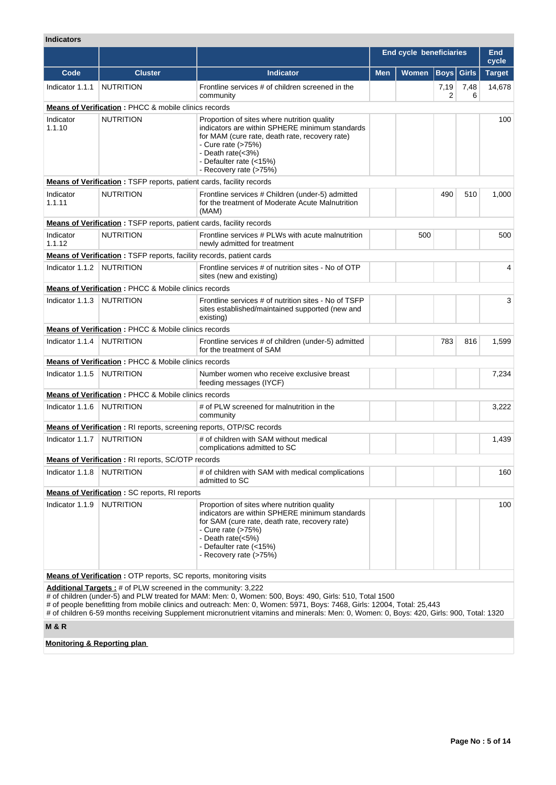# **Indicators**

|                             |                                                                 |                                                                                                                                                                                                                                                 |            | <b>End cycle beneficiaries</b> |             |              | <b>End</b><br>cycle |
|-----------------------------|-----------------------------------------------------------------|-------------------------------------------------------------------------------------------------------------------------------------------------------------------------------------------------------------------------------------------------|------------|--------------------------------|-------------|--------------|---------------------|
| Code                        | <b>Cluster</b>                                                  | <b>Indicator</b>                                                                                                                                                                                                                                | <b>Men</b> | Women                          | <b>Boys</b> | <b>Girls</b> | <b>Target</b>       |
| Indicator 1.1.1             | <b>NUTRITION</b>                                                | Frontline services # of children screened in the<br>community                                                                                                                                                                                   |            |                                | 7,19<br>2   | 7,48<br>6    | 14,678              |
|                             | <b>Means of Verification: PHCC &amp; mobile clinics records</b> |                                                                                                                                                                                                                                                 |            |                                |             |              |                     |
| Indicator<br>1.1.10         | <b>NUTRITION</b>                                                | Proportion of sites where nutrition quality<br>indicators are within SPHERE minimum standards<br>for MAM (cure rate, death rate, recovery rate)<br>- Cure rate (>75%)<br>- Death rate(<3%)<br>- Defaulter rate (<15%)<br>- Recovery rate (>75%) |            |                                |             |              | 100                 |
|                             |                                                                 | Means of Verification: TSFP reports, patient cards, facility records                                                                                                                                                                            |            |                                |             |              |                     |
| Indicator<br>1.1.11         | <b>NUTRITION</b>                                                | Frontline services # Children (under-5) admitted<br>for the treatment of Moderate Acute Malnutrition<br>(MAM)                                                                                                                                   |            |                                | 490         | 510          | 1,000               |
|                             |                                                                 | Means of Verification: TSFP reports, patient cards, facility records                                                                                                                                                                            |            |                                |             |              |                     |
| Indicator<br>1.1.12         | <b>NUTRITION</b>                                                | Frontline services # PLWs with acute malnutrition<br>newly admitted for treatment                                                                                                                                                               |            | 500                            |             |              | 500                 |
|                             |                                                                 | <b>Means of Verification: TSFP reports, facility records, patient cards</b>                                                                                                                                                                     |            |                                |             |              |                     |
| Indicator 1.1.2             | <b>NUTRITION</b>                                                | Frontline services # of nutrition sites - No of OTP<br>sites (new and existing)                                                                                                                                                                 |            |                                |             |              | 4                   |
|                             | Means of Verification : PHCC & Mobile clinics records           |                                                                                                                                                                                                                                                 |            |                                |             |              |                     |
| Indicator 1.1.3             | <b>NUTRITION</b>                                                | Frontline services # of nutrition sites - No of TSFP<br>sites established/maintained supported (new and<br>existing)                                                                                                                            |            |                                |             |              | 3                   |
|                             | <b>Means of Verification: PHCC &amp; Mobile clinics records</b> |                                                                                                                                                                                                                                                 |            |                                |             |              |                     |
| Indicator 1.1.4             | <b>NUTRITION</b>                                                | Frontline services # of children (under-5) admitted<br>for the treatment of SAM                                                                                                                                                                 |            |                                | 783         | 816          | 1,599               |
|                             | <b>Means of Verification: PHCC &amp; Mobile clinics records</b> |                                                                                                                                                                                                                                                 |            |                                |             |              |                     |
| Indicator 1.1.5             | <b>NUTRITION</b>                                                | Number women who receive exclusive breast<br>feeding messages (IYCF)                                                                                                                                                                            |            |                                |             |              | 7,234               |
|                             | <b>Means of Verification: PHCC &amp; Mobile clinics records</b> |                                                                                                                                                                                                                                                 |            |                                |             |              |                     |
| Indicator 1.1.6             | <b>NUTRITION</b>                                                | # of PLW screened for malnutrition in the<br>community                                                                                                                                                                                          |            |                                |             |              | 3,222               |
|                             |                                                                 | <b>Means of Verification:</b> RI reports, screening reports, OTP/SC records                                                                                                                                                                     |            |                                |             |              |                     |
| Indicator 1.1.7   NUTRITION |                                                                 | # of children with SAM without medical<br>complications admitted to SC                                                                                                                                                                          |            |                                |             |              | 1,439               |
|                             | Means of Verification : RI reports, SC/OTP records              |                                                                                                                                                                                                                                                 |            |                                |             |              |                     |
| Indicator 1.1.8             | NUTRITION                                                       | # of children with SAM with medical complications<br>admitted to SC                                                                                                                                                                             |            |                                |             |              | 160                 |
|                             | <b>Means of Verification: SC reports, RI reports</b>            |                                                                                                                                                                                                                                                 |            |                                |             |              |                     |
| Indicator 1.1.9   NUTRITION |                                                                 | Proportion of sites where nutrition quality<br>indicators are within SPHERE minimum standards<br>for SAM (cure rate, death rate, recovery rate)<br>- Cure rate (>75%)<br>- Death rate(<5%)<br>- Defaulter rate (<15%)<br>- Recovery rate (>75%) |            |                                |             |              | 100                 |
|                             |                                                                 | Means of Verification: OTP reports, SC reports, monitoring visits                                                                                                                                                                               |            |                                |             |              |                     |

**Additional Targets :** # of PLW screened in the community: 3,222

# of children (under-5) and PLW treated for MAM: Men: 0, Women: 500, Boys: 490, Girls: 510, Total 1500

# of people benefitting from mobile clinics and outreach: Men: 0, Women: 5971, Boys: 7468, Girls: 12004, Total: 25,443

# of children 6-59 months receiving Supplement micronutrient vitamins and minerals: Men: 0, Women: 0, Boys: 420, Girls: 900, Total: 1320

# **M & R**

**Monitoring & Reporting plan**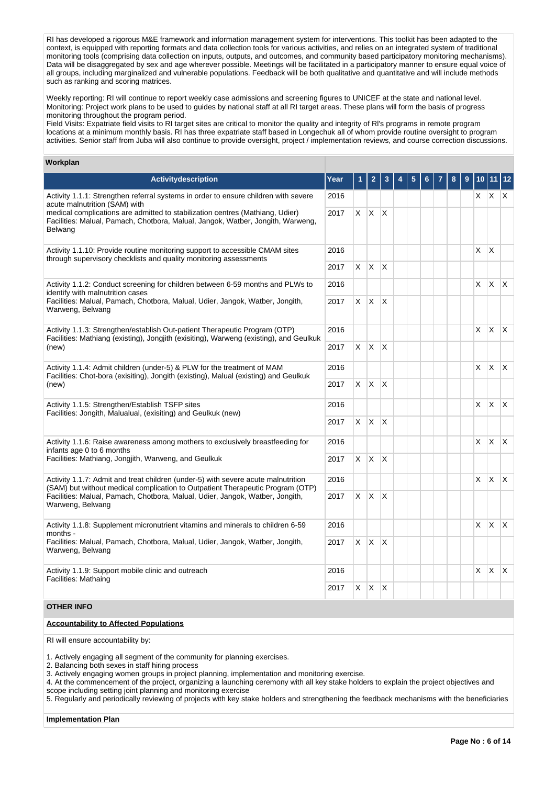RI has developed a rigorous M&E framework and information management system for interventions. This toolkit has been adapted to the context, is equipped with reporting formats and data collection tools for various activities, and relies on an integrated system of traditional monitoring tools (comprising data collection on inputs, outputs, and outcomes, and community based participatory monitoring mechanisms). Data will be disaggregated by sex and age wherever possible. Meetings will be facilitated in a participatory manner to ensure equal voice of all groups, including marginalized and vulnerable populations. Feedback will be both qualitative and quantitative and will include methods such as ranking and scoring matrices.

Weekly reporting: RI will continue to report weekly case admissions and screening figures to UNICEF at the state and national level. Monitoring: Project work plans to be used to guides by national staff at all RI target areas. These plans will form the basis of progress monitoring throughout the program period.

Field Visits: Expatriate field visits to RI target sites are critical to monitor the quality and integrity of Rl's programs in remote program locations at a minimum monthly basis. RI has three expatriate staff based in Longechuk all of whom provide routine oversight to program activities. Senior staff from Juba will also continue to provide oversight, project / implementation reviews, and course correction discussions.

## **Workplan**

| <b>Activity description</b>                                                                                                                                                                                  | Year | 1        | 2                 | 3            | 5 | 6 | 8 | 9 | 10       |                   | 11 12    |
|--------------------------------------------------------------------------------------------------------------------------------------------------------------------------------------------------------------|------|----------|-------------------|--------------|---|---|---|---|----------|-------------------|----------|
| Activity 1.1.1: Strengthen referral systems in order to ensure children with severe                                                                                                                          | 2016 |          |                   |              |   |   |   |   |          | $x \mid x \mid x$ |          |
| acute malnutrition (SAM) with<br>medical complications are admitted to stabilization centres (Mathiang, Udier)<br>Facilities: Malual, Pamach, Chotbora, Malual, Jangok, Watber, Jongith, Warweng,<br>Belwang | 2017 | $\times$ | $X$ $X$           |              |   |   |   |   |          |                   |          |
| Activity 1.1.10: Provide routine monitoring support to accessible CMAM sites<br>through supervisory checklists and quality monitoring assessments                                                            |      |          |                   |              |   |   |   |   | X        | $\mathsf{X}$      |          |
|                                                                                                                                                                                                              | 2017 |          | $X$ $X$ $X$       |              |   |   |   |   |          |                   |          |
| Activity 1.1.2: Conduct screening for children between 6-59 months and PLWs to<br>identify with malnutrition cases                                                                                           | 2016 |          |                   |              |   |   |   |   | X        | X                 | X        |
| Facilities: Malual, Pamach, Chotbora, Malual, Udier, Jangok, Watber, Jongith,<br>Warweng, Belwang                                                                                                            | 2017 | X        | $\mathsf{X}$      | ΙX.          |   |   |   |   |          |                   |          |
| Activity 1.1.3: Strengthen/establish Out-patient Therapeutic Program (OTP)<br>Facilities: Mathiang (existing), Jongjith (exisiting), Warweng (existing), and Geulkuk                                         |      |          |                   |              |   |   |   |   | X        | X.                | X.       |
| (new)                                                                                                                                                                                                        | 2017 |          | $X \mid X$        | $\mathsf{X}$ |   |   |   |   |          |                   |          |
| Activity 1.1.4: Admit children (under-5) & PLW for the treatment of MAM<br>Facilities: Chot-bora (exisiting), Jongith (existing), Malual (existing) and Geulkuk                                              | 2016 |          |                   |              |   |   |   |   | $\times$ | ΙX.               | <b>X</b> |
| (new)                                                                                                                                                                                                        | 2017 |          | $x \mid x \mid x$ |              |   |   |   |   |          |                   |          |
| Activity 1.1.5: Strengthen/Establish TSFP sites<br>Facilities: Jongith, Malualual, (exisiting) and Geulkuk (new)                                                                                             |      |          |                   |              |   |   |   |   | X        | X.                | X.       |
|                                                                                                                                                                                                              | 2017 | X.       | $\mathsf{X}$      | $\mathsf{X}$ |   |   |   |   |          |                   |          |
| Activity 1.1.6: Raise awareness among mothers to exclusively breastfeeding for<br>infants age 0 to 6 months                                                                                                  | 2016 |          |                   |              |   |   |   |   | X        | <b>X</b>          | X        |
| Facilities: Mathiang, Jongjith, Warweng, and Geulkuk                                                                                                                                                         | 2017 | X.       | $\mathsf{X}$      | ΙX.          |   |   |   |   |          |                   |          |
| Activity 1.1.7: Admit and treat children (under-5) with severe acute malnutrition<br>(SAM) but without medical complication to Outpatient Therapeutic Program (OTP)                                          | 2016 |          |                   |              |   |   |   |   | X        | $\mathsf{X}$      | <b>X</b> |
| Facilities: Malual, Pamach, Chotbora, Malual, Udier, Jangok, Watber, Jongith,<br>Warweng, Belwang                                                                                                            | 2017 | X.       | X.                | ΙX.          |   |   |   |   |          |                   |          |
| Activity 1.1.8: Supplement micronutrient vitamins and minerals to children 6-59<br>months -                                                                                                                  | 2016 |          |                   |              |   |   |   |   | X        | ΙX.               | X.       |
| Facilities: Malual, Pamach, Chotbora, Malual, Udier, Jangok, Watber, Jongith,<br>Warweng, Belwang                                                                                                            |      |          | $X \mid X$        | ΙX.          |   |   |   |   |          |                   |          |
| Activity 1.1.9: Support mobile clinic and outreach<br>Facilities: Mathaing                                                                                                                                   | 2016 |          |                   |              |   |   |   |   | X        | ΙX.               | IX.      |
|                                                                                                                                                                                                              | 2017 | X.       | X                 | ΙX.          |   |   |   |   |          |                   |          |

## **OTHER INFO**

### **Accountability to Affected Populations**

RI will ensure accountability by:

1. Actively engaging all segment of the community for planning exercises.

2. Balancing both sexes in staff hiring process

3. Actively engaging women groups in project planning, implementation and monitoring exercise.

4. At the commencement of the project, organizing a launching ceremony with all key stake holders to explain the project objectives and scope including setting joint planning and monitoring exercise

5. Regularly and periodically reviewing of projects with key stake holders and strengthening the feedback mechanisms with the beneficiaries

**Implementation Plan**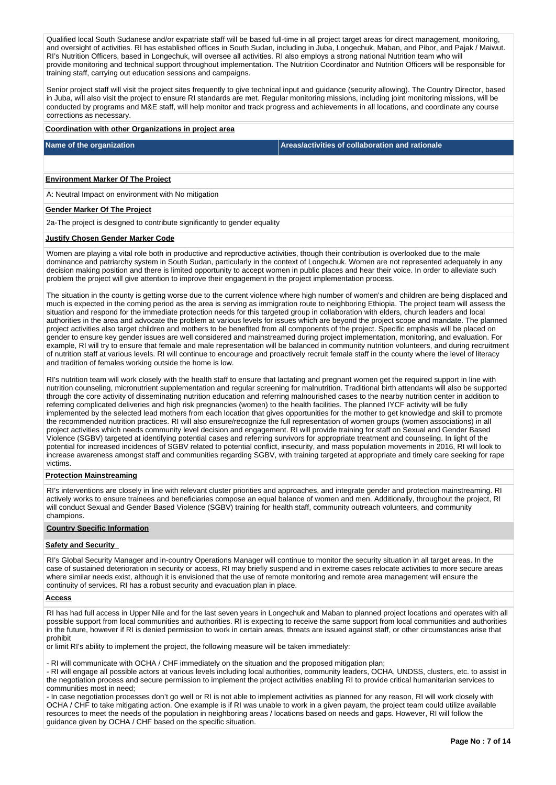Qualified local South Sudanese and/or expatriate staff will be based full-time in all project target areas for direct management, monitoring, and oversight of activities. RI has established offices in South Sudan, including in Juba, Longechuk, Maban, and Pibor, and Pajak / Maiwut. RI's Nutrition Officers, based in Longechuk, will oversee all activities. RI also employs a strong national Nutrition team who will provide monitoring and technical support throughout implementation. The Nutrition Coordinator and Nutrition Officers will be responsible for training staff, carrying out education sessions and campaigns.

Senior project staff will visit the project sites frequently to give technical input and guidance (security allowing). The Country Director, based in Juba, will also visit the project to ensure RI standards are met. Regular monitoring missions, including joint monitoring missions, will be conducted by programs and M&E staff, will help monitor and track progress and achievements in all locations, and coordinate any course corrections as necessary.

## **Coordination with other Organizations in project area**

**Name of the organization Areas/activities of collaboration and rationale** 

### **Environment Marker Of The Project**

A: Neutral Impact on environment with No mitigation

#### **Gender Marker Of The Project**

2a-The project is designed to contribute significantly to gender equality

#### **Justify Chosen Gender Marker Code**

Women are playing a vital role both in productive and reproductive activities, though their contribution is overlooked due to the male dominance and patriarchy system in South Sudan, particularly in the context of Longechuk. Women are not represented adequately in any decision making position and there is limited opportunity to accept women in public places and hear their voice. In order to alleviate such problem the project will give attention to improve their engagement in the project implementation process.

The situation in the county is getting worse due to the current violence where high number of women's and children are being displaced and much is expected in the coming period as the area is serving as immigration route to neighboring Ethiopia. The project team will assess the situation and respond for the immediate protection needs for this targeted group in collaboration with elders, church leaders and local authorities in the area and advocate the problem at various levels for issues which are beyond the project scope and mandate. The planned project activities also target children and mothers to be benefited from all components of the project. Specific emphasis will be placed on gender to ensure key gender issues are well considered and mainstreamed during project implementation, monitoring, and evaluation. For example, RI will try to ensure that female and male representation will be balanced in community nutrition volunteers, and during recruitment of nutrition staff at various levels. RI will continue to encourage and proactively recruit female staff in the county where the level of literacy and tradition of females working outside the home is low.

RI's nutrition team will work closely with the health staff to ensure that lactating and pregnant women get the required support in line with nutrition counseling, micronutrient supplementation and regular screening for malnutrition. Traditional birth attendants will also be supported through the core activity of disseminating nutrition education and referring malnourished cases to the nearby nutrition center in addition to referring complicated deliveries and high risk pregnancies (women) to the health facilities. The planned IYCF activity will be fully implemented by the selected lead mothers from each location that gives opportunities for the mother to get knowledge and skill to promote the recommended nutrition practices. RI will also ensure/recognize the full representation of women groups (women associations) in all project activities which needs community level decision and engagement. RI will provide training for staff on Sexual and Gender Based Violence (SGBV) targeted at identifying potential cases and referring survivors for appropriate treatment and counseling. In light of the potential for increased incidences of SGBV related to potential conflict, insecurity, and mass population movements in 2016, RI will look to increase awareness amongst staff and communities regarding SGBV, with training targeted at appropriate and timely care seeking for rape victims.

### **Protection Mainstreaming**

RI's interventions are closely in line with relevant cluster priorities and approaches, and integrate gender and protection mainstreaming. RI actively works to ensure trainees and beneficiaries compose an equal balance of women and men. Additionally, throughout the project, RI will conduct Sexual and Gender Based Violence (SGBV) training for health staff, community outreach volunteers, and community champions.

#### **Country Specific Information**

### **Safety and Security**

RI's Global Security Manager and in-country Operations Manager will continue to monitor the security situation in all target areas. In the case of sustained deterioration in security or access, RI may briefly suspend and in extreme cases relocate activities to more secure areas where similar needs exist, although it is envisioned that the use of remote monitoring and remote area management will ensure the continuity of services. RI has a robust security and evacuation plan in place.

#### **Access**

RI has had full access in Upper Nile and for the last seven years in Longechuk and Maban to planned project locations and operates with all possible support from local communities and authorities. RI is expecting to receive the same support from local communities and authorities in the future, however if RI is denied permission to work in certain areas, threats are issued against staff, or other circumstances arise that prohibit

or limit RI's ability to implement the project, the following measure will be taken immediately:

- RI will communicate with OCHA / CHF immediately on the situation and the proposed mitigation plan;

- RI will engage all possible actors at various levels including local authorities, community leaders, OCHA, UNDSS, clusters, etc. to assist in the negotiation process and secure permission to implement the project activities enabling RI to provide critical humanitarian services to communities most in need;

- In case negotiation processes don't go well or RI is not able to implement activities as planned for any reason, RI will work closely with OCHA / CHF to take mitigating action. One example is if RI was unable to work in a given payam, the project team could utilize available resources to meet the needs of the population in neighboring areas / locations based on needs and gaps. However, RI will follow the guidance given by OCHA / CHF based on the specific situation.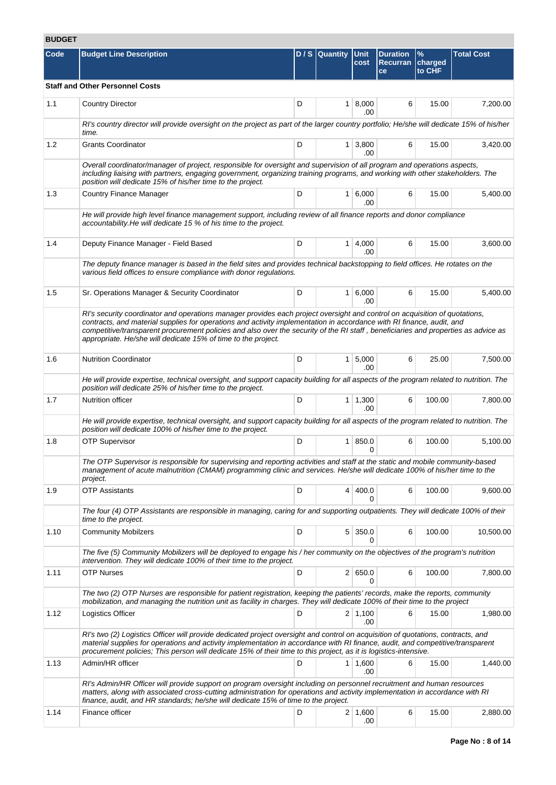# **BUDGET**

| Code | <b>Budget Line Description</b>                                                                                                                                                                                                                                                                                                                                                                                                                             |   | D / S Quantity Unit | cost                         | <b>Duration</b><br>Recurran<br>ce | $\%$<br>charged<br>to CHF | <b>Total Cost</b> |
|------|------------------------------------------------------------------------------------------------------------------------------------------------------------------------------------------------------------------------------------------------------------------------------------------------------------------------------------------------------------------------------------------------------------------------------------------------------------|---|---------------------|------------------------------|-----------------------------------|---------------------------|-------------------|
|      | <b>Staff and Other Personnel Costs</b>                                                                                                                                                                                                                                                                                                                                                                                                                     |   |                     |                              |                                   |                           |                   |
| 1.1  | <b>Country Director</b>                                                                                                                                                                                                                                                                                                                                                                                                                                    | D |                     | $1 \, 8,000$<br>.00          | 6                                 | 15.00                     | 7,200.00          |
|      | RI's country director will provide oversight on the project as part of the larger country portfolio; He/she will dedicate 15% of his/her<br>time.                                                                                                                                                                                                                                                                                                          |   |                     |                              |                                   |                           |                   |
| 1.2  | <b>Grants Coordinator</b>                                                                                                                                                                                                                                                                                                                                                                                                                                  | D |                     | $1 \overline{)3,800}$<br>.00 | 6                                 | 15.00                     | 3,420.00          |
|      | Overall coordinator/manager of project, responsible for oversight and supervision of all program and operations aspects,<br>including liaising with partners, engaging government, organizing training programs, and working with other stakeholders. The<br>position will dedicate 15% of his/her time to the project.                                                                                                                                    |   |                     |                              |                                   |                           |                   |
| 1.3  | <b>Country Finance Manager</b>                                                                                                                                                                                                                                                                                                                                                                                                                             | D |                     | 1 6,000<br>.00               | 6                                 | 15.00                     | 5,400.00          |
|      | He will provide high level finance management support, including review of all finance reports and donor compliance<br>accountability. He will dedicate 15 % of his time to the project.                                                                                                                                                                                                                                                                   |   |                     |                              |                                   |                           |                   |
| 1.4  | Deputy Finance Manager - Field Based                                                                                                                                                                                                                                                                                                                                                                                                                       | D |                     | $1 \, 4,000$<br>.00          | 6                                 | 15.00                     | 3,600.00          |
|      | The deputy finance manager is based in the field sites and provides technical backstopping to field offices. He rotates on the<br>various field offices to ensure compliance with donor regulations.                                                                                                                                                                                                                                                       |   |                     |                              |                                   |                           |                   |
| 1.5  | Sr. Operations Manager & Security Coordinator                                                                                                                                                                                                                                                                                                                                                                                                              | D |                     | $1 \ 6,000$<br>.00           | 6                                 | 15.00                     | 5,400.00          |
|      | RI's security coordinator and operations manager provides each project oversight and control on acquisition of quotations,<br>contracts, and material supplies for operations and activity implementation in accordance with RI finance, audit, and<br>competitive/transparent procurement policies and also over the security of the RI staff, beneficiaries and properties as advice as<br>appropriate. He/she will dedicate 15% of time to the project. |   |                     |                              |                                   |                           |                   |
| 1.6  | <b>Nutrition Coordinator</b>                                                                                                                                                                                                                                                                                                                                                                                                                               | D |                     | $1 \, 5,000$<br>.00          | 6                                 | 25.00                     | 7,500.00          |
|      | He will provide expertise, technical oversight, and support capacity building for all aspects of the program related to nutrition. The<br>position will dedicate 25% of his/her time to the project.                                                                                                                                                                                                                                                       |   |                     |                              |                                   |                           |                   |
| 1.7  | Nutrition officer                                                                                                                                                                                                                                                                                                                                                                                                                                          | D |                     | $1 \mid 1,300$<br>.00        | 6                                 | 100.00                    | 7,800.00          |
|      | He will provide expertise, technical oversight, and support capacity building for all aspects of the program related to nutrition. The<br>position will dedicate 100% of his/her time to the project.                                                                                                                                                                                                                                                      |   |                     |                              |                                   |                           |                   |
| 1.8  | <b>OTP Supervisor</b>                                                                                                                                                                                                                                                                                                                                                                                                                                      | D |                     | 1 850.0<br>0                 | 6                                 | 100.00                    | 5,100.00          |
|      | The OTP Supervisor is responsible for supervising and reporting activities and staff at the static and mobile community-based<br>management of acute malnutrition (CMAM) programming clinic and services. He/she will dedicate 100% of his/her time to the<br>project.                                                                                                                                                                                     |   |                     |                              |                                   |                           |                   |
| 1.9  | <b>OTP Assistants</b>                                                                                                                                                                                                                                                                                                                                                                                                                                      | D |                     | 4 400.0<br>0                 | 6                                 | 100.00                    | 9,600.00          |
|      | The four (4) OTP Assistants are responsible in managing, caring for and supporting outpatients. They will dedicate 100% of their<br>time to the project.                                                                                                                                                                                                                                                                                                   |   |                     |                              |                                   |                           |                   |
| 1.10 | <b>Community Mobilzers</b>                                                                                                                                                                                                                                                                                                                                                                                                                                 | D |                     | $5 \mid 350.0$<br>0          | 6                                 | 100.00                    | 10,500.00         |
|      | The five (5) Community Mobilizers will be deployed to engage his / her community on the objectives of the program's nutrition<br>intervention. They will dedicate 100% of their time to the project.                                                                                                                                                                                                                                                       |   |                     |                              |                                   |                           |                   |
| 1.11 | <b>OTP Nurses</b>                                                                                                                                                                                                                                                                                                                                                                                                                                          | D |                     | 2   650.0                    | 6                                 | 100.00                    | 7,800.00          |
|      | The two (2) OTP Nurses are responsible for patient registration, keeping the patients' records, make the reports, community<br>mobilization, and managing the nutrition unit as facility in charges. They will dedicate 100% of their time to the project                                                                                                                                                                                                  |   |                     |                              |                                   |                           |                   |
| 1.12 | Logistics Officer                                                                                                                                                                                                                                                                                                                                                                                                                                          | D |                     | $2 \mid 1,100$<br>.00        | 6                                 | 15.00                     | 1,980.00          |
|      | RI's two (2) Logistics Officer will provide dedicated project oversight and control on acquisition of quotations, contracts, and<br>material supplies for operations and activity implementation in accordance with RI finance, audit, and competitive/transparent<br>procurement policies; This person will dedicate 15% of their time to this project, as it is logistics-intensive.                                                                     |   |                     |                              |                                   |                           |                   |
| 1.13 | Admin/HR officer                                                                                                                                                                                                                                                                                                                                                                                                                                           | D |                     | $1 \mid 1,600$<br>.00        | 6                                 | 15.00                     | 1,440.00          |
|      | RI's Admin/HR Officer will provide support on program oversight including on personnel recruitment and human resources<br>matters, along with associated cross-cutting administration for operations and activity implementation in accordance with RI<br>finance, audit, and HR standards; he/she will dedicate 15% of time to the project.                                                                                                               |   |                     |                              |                                   |                           |                   |
| 1.14 | Finance officer                                                                                                                                                                                                                                                                                                                                                                                                                                            | D |                     | $2 \mid 1,600$<br>.00        | 6                                 | 15.00                     | 2,880.00          |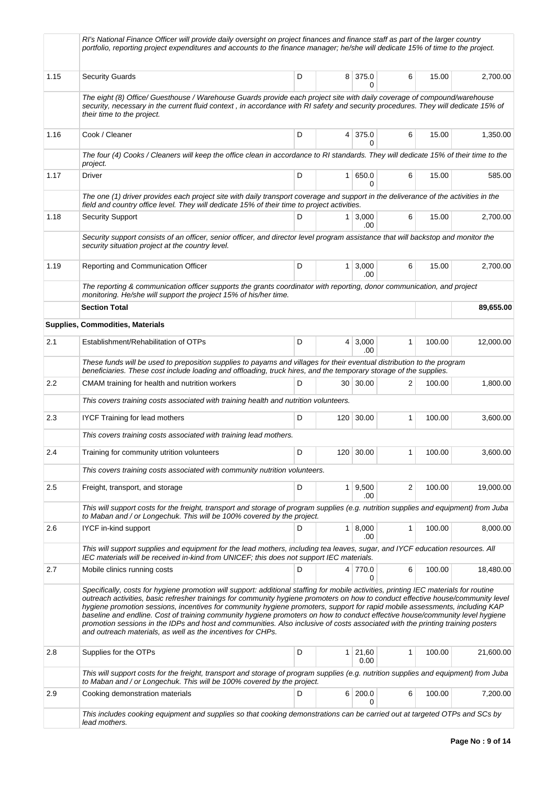|      | RI's National Finance Officer will provide daily oversight on project finances and finance staff as part of the larger country<br>portfolio, reporting project expenditures and accounts to the finance manager; he/she will dedicate 15% of time to the project.                                                                                                                                                                                                                                                                                                                                |   |                  |                       |              |        |           |
|------|--------------------------------------------------------------------------------------------------------------------------------------------------------------------------------------------------------------------------------------------------------------------------------------------------------------------------------------------------------------------------------------------------------------------------------------------------------------------------------------------------------------------------------------------------------------------------------------------------|---|------------------|-----------------------|--------------|--------|-----------|
| 1.15 | <b>Security Guards</b>                                                                                                                                                                                                                                                                                                                                                                                                                                                                                                                                                                           | D |                  | 8 375.0<br>0          | 6            | 15.00  | 2,700.00  |
|      | The eight (8) Office/ Guesthouse / Warehouse Guards provide each project site with daily coverage of compound/warehouse<br>security, necessary in the current fluid context, in accordance with RI safety and security procedures. They will dedicate 15% of<br>their time to the project.                                                                                                                                                                                                                                                                                                       |   |                  |                       |              |        |           |
| 1.16 | Cook / Cleaner                                                                                                                                                                                                                                                                                                                                                                                                                                                                                                                                                                                   | D |                  | 4 375.0               | 6            | 15.00  | 1,350.00  |
|      | The four (4) Cooks / Cleaners will keep the office clean in accordance to RI standards. They will dedicate 15% of their time to the<br>project.                                                                                                                                                                                                                                                                                                                                                                                                                                                  |   |                  |                       |              |        |           |
| 1.17 | Driver                                                                                                                                                                                                                                                                                                                                                                                                                                                                                                                                                                                           | D |                  | 1   650.0<br>0        | 6            | 15.00  | 585.00    |
|      | The one (1) driver provides each project site with daily transport coverage and support in the deliverance of the activities in the<br>field and country office level. They will dedicate 15% of their time to project activities.                                                                                                                                                                                                                                                                                                                                                               |   |                  |                       |              |        |           |
| 1.18 | <b>Security Support</b>                                                                                                                                                                                                                                                                                                                                                                                                                                                                                                                                                                          | D | 1 <sup>1</sup>   | 3,000<br>.00          | 6            | 15.00  | 2,700.00  |
|      | Security support consists of an officer, senior officer, and director level program assistance that will backstop and monitor the<br>security situation project at the country level.                                                                                                                                                                                                                                                                                                                                                                                                            |   |                  |                       |              |        |           |
| 1.19 | Reporting and Communication Officer                                                                                                                                                                                                                                                                                                                                                                                                                                                                                                                                                              | D |                  | $1 \, 3,000$<br>.00   | 6            | 15.00  | 2,700.00  |
|      | The reporting & communication officer supports the grants coordinator with reporting, donor communication, and project<br>monitoring. He/she will support the project 15% of his/her time.                                                                                                                                                                                                                                                                                                                                                                                                       |   |                  |                       |              |        |           |
|      | <b>Section Total</b>                                                                                                                                                                                                                                                                                                                                                                                                                                                                                                                                                                             |   |                  |                       |              |        | 89,655.00 |
|      | <b>Supplies, Commodities, Materials</b>                                                                                                                                                                                                                                                                                                                                                                                                                                                                                                                                                          |   |                  |                       |              |        |           |
| 2.1  | Establishment/Rehabilitation of OTPs                                                                                                                                                                                                                                                                                                                                                                                                                                                                                                                                                             | D |                  | $4 \mid 3,000$<br>.00 | $\mathbf{1}$ | 100.00 | 12,000.00 |
|      | These funds will be used to preposition supplies to payams and villages for their eventual distribution to the program<br>beneficiaries. These cost include loading and offloading, truck hires, and the temporary storage of the supplies.                                                                                                                                                                                                                                                                                                                                                      |   |                  |                       |              |        |           |
| 2.2  | CMAM training for health and nutrition workers                                                                                                                                                                                                                                                                                                                                                                                                                                                                                                                                                   | D |                  | 30 30.00              | 2            | 100.00 | 1,800.00  |
|      | This covers training costs associated with training health and nutrition volunteers.                                                                                                                                                                                                                                                                                                                                                                                                                                                                                                             |   |                  |                       |              |        |           |
| 2.3  | <b>IYCF Training for lead mothers</b>                                                                                                                                                                                                                                                                                                                                                                                                                                                                                                                                                            | D | 120 <sub>1</sub> | 30.00                 | 1            | 100.00 | 3,600.00  |
|      | This covers training costs associated with training lead mothers.                                                                                                                                                                                                                                                                                                                                                                                                                                                                                                                                |   |                  |                       |              |        |           |
| 2.4  | Training for community utrition volunteers                                                                                                                                                                                                                                                                                                                                                                                                                                                                                                                                                       | D |                  | 120 30.00             |              | 100.00 | 3,600.00  |
|      | This covers training costs associated with community nutrition volunteers.                                                                                                                                                                                                                                                                                                                                                                                                                                                                                                                       |   |                  |                       |              |        |           |
| 2.5  | Freight, transport, and storage                                                                                                                                                                                                                                                                                                                                                                                                                                                                                                                                                                  | D |                  | $1 \ 9,500$<br>.00    | 2            | 100.00 | 19,000.00 |
|      | This will support costs for the freight, transport and storage of program supplies (e.g. nutrition supplies and equipment) from Juba<br>to Maban and / or Longechuk. This will be 100% covered by the project.                                                                                                                                                                                                                                                                                                                                                                                   |   |                  |                       |              |        |           |
| 2.6  | IYCF in-kind support                                                                                                                                                                                                                                                                                                                                                                                                                                                                                                                                                                             | D |                  | $1 \, 8,000$          | 1            | 100.00 | 8,000.00  |
|      | This will support supplies and equipment for the lead mothers, including tea leaves, sugar, and IYCF education resources. All                                                                                                                                                                                                                                                                                                                                                                                                                                                                    |   |                  | .00                   |              |        |           |
| 2.7  | IEC materials will be received in-kind from UNICEF; this does not support IEC materials.<br>Mobile clinics running costs                                                                                                                                                                                                                                                                                                                                                                                                                                                                         | D |                  | 4 770.0               | 6            | 100.00 | 18,480.00 |
|      | Specifically, costs for hygiene promotion will support: additional staffing for mobile activities, printing IEC materials for routine                                                                                                                                                                                                                                                                                                                                                                                                                                                            |   |                  | 0                     |              |        |           |
|      | outreach activities, basic refresher trainings for community hygiene promoters on how to conduct effective house/community level<br>hygiene promotion sessions, incentives for community hygiene promoters, support for rapid mobile assessments, including KAP<br>baseline and endline. Cost of training community hygiene promoters on how to conduct effective house/community level hygiene<br>promotion sessions in the IDPs and host and communities. Also inclusive of costs associated with the printing training posters<br>and outreach materials, as well as the incentives for CHPs. |   |                  |                       |              |        |           |
| 2.8  | Supplies for the OTPs                                                                                                                                                                                                                                                                                                                                                                                                                                                                                                                                                                            | D |                  | $1 \ 21,60$<br>0.00   | 1            | 100.00 | 21,600.00 |
|      | This will support costs for the freight, transport and storage of program supplies (e.g. nutrition supplies and equipment) from Juba<br>to Maban and / or Longechuk. This will be 100% covered by the project.                                                                                                                                                                                                                                                                                                                                                                                   |   |                  |                       |              |        |           |
| 2.9  | Cooking demonstration materials                                                                                                                                                                                                                                                                                                                                                                                                                                                                                                                                                                  | D |                  | 6 200.0               | 6            | 100.00 | 7,200.00  |
|      | This includes cooking equipment and supplies so that cooking demonstrations can be carried out at targeted OTPs and SCs by<br>lead mothers.                                                                                                                                                                                                                                                                                                                                                                                                                                                      |   |                  | 0                     |              |        |           |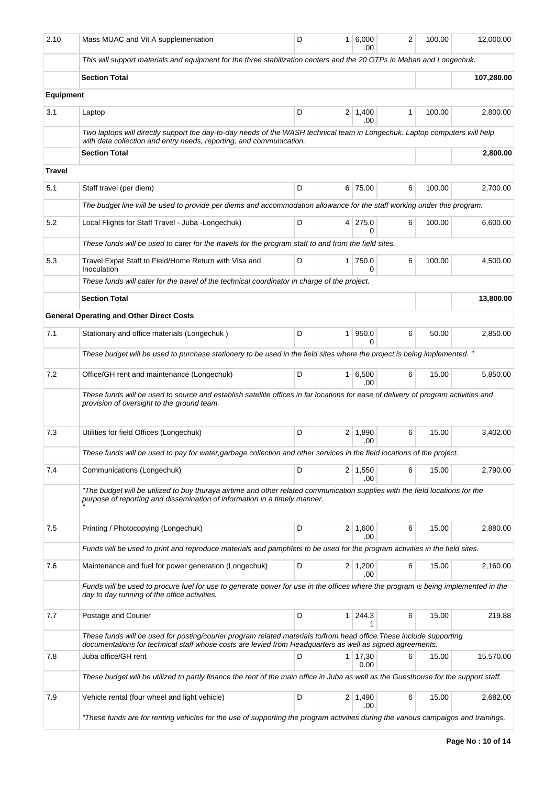| 2.10             | Mass MUAC and Vit A supplementation                                                                                                                                                                                               | D | 1 <sup>1</sup> | 6,000<br>.00          | 2 | 100.00 | 12,000.00  |
|------------------|-----------------------------------------------------------------------------------------------------------------------------------------------------------------------------------------------------------------------------------|---|----------------|-----------------------|---|--------|------------|
|                  | This will support materials and equipment for the three stabilization centers and the 20 OTPs in Maban and Longechuk.                                                                                                             |   |                |                       |   |        |            |
|                  | <b>Section Total</b>                                                                                                                                                                                                              |   |                |                       |   |        | 107,280.00 |
| <b>Equipment</b> |                                                                                                                                                                                                                                   |   |                |                       |   |        |            |
| 3.1              | Laptop                                                                                                                                                                                                                            | D |                | 2 1,400<br>.00        | 1 | 100.00 | 2,800.00   |
|                  | Two laptops will directly support the day-to-day needs of the WASH technical team in Longechuk. Laptop computers will help<br>with data collection and entry needs, reporting, and communication.                                 |   |                |                       |   |        |            |
|                  | <b>Section Total</b>                                                                                                                                                                                                              |   |                |                       |   |        | 2,800.00   |
| Travel           |                                                                                                                                                                                                                                   |   |                |                       |   |        |            |
| 5.1              | Staff travel (per diem)                                                                                                                                                                                                           | D |                | 6 75.00               | 6 | 100.00 | 2,700.00   |
|                  | The budget line will be used to provide per diems and accommodation allowance for the staff working under this program.                                                                                                           |   |                |                       |   |        |            |
| 5.2              | Local Flights for Staff Travel - Juba -Longechuk)                                                                                                                                                                                 | D |                | 4 275.0<br>0          | 6 | 100.00 | 6,600.00   |
|                  | These funds will be used to cater for the travels for the program staff to and from the field sites.                                                                                                                              |   |                |                       |   |        |            |
| 5.3              | Travel Expat Staff to Field/Home Return with Visa and<br>Inoculation                                                                                                                                                              | D | $\mathbf{1}$   | 750.0<br>0            | 6 | 100.00 | 4,500.00   |
|                  | These funds will cater for the travel of the technical coordinator in charge of the project.                                                                                                                                      |   |                |                       |   |        |            |
|                  | <b>Section Total</b>                                                                                                                                                                                                              |   |                |                       |   |        | 13,800.00  |
|                  | <b>General Operating and Other Direct Costs</b>                                                                                                                                                                                   |   |                |                       |   |        |            |
| 7.1              | Stationary and office materials (Longechuk)                                                                                                                                                                                       | D | 1              | 950.0<br><sup>0</sup> | 6 | 50.00  | 2,850.00   |
|                  | These budget will be used to purchase stationery to be used in the field sites where the project is being implemented. "                                                                                                          |   |                |                       |   |        |            |
| 7.2              | Office/GH rent and maintenance (Longechuk)                                                                                                                                                                                        | D | 1              | 6,500<br>.00          | 6 | 15.00  | 5,850.00   |
|                  | These funds will be used to source and establish satellite offices in far locations for ease of delivery of program activities and<br>provision of oversight to the ground team.                                                  |   |                |                       |   |        |            |
| 7.3              | Utilities for field Offices (Longechuk)                                                                                                                                                                                           | D |                | $2 \mid 1,890$<br>.00 | 6 | 15.00  | 3,402.00   |
|                  | These funds will be used to pay for water, garbage collection and other services in the field locations of the project.                                                                                                           |   |                |                       |   |        |            |
| 7.4              | Communications (Longechuk)                                                                                                                                                                                                        | D |                | $2 \mid 1,550$<br>.00 | 6 | 15.00  | 2,790.00   |
|                  | "The budget will be utilized to buy thuraya airtime and other related communication supplies with the field locations for the<br>purpose of reporting and dissemination of information in a timely manner.                        |   |                |                       |   |        |            |
| 7.5              | Printing / Photocopying (Longechuk)                                                                                                                                                                                               | D |                | $2 \mid 1,600$<br>.00 | 6 | 15.00  | 2,880.00   |
|                  | Funds will be used to print and reproduce materials and pamphlets to be used for the program activities in the field sites.                                                                                                       |   |                |                       |   |        |            |
| 7.6              | Maintenance and fuel for power generation (Longechuk)                                                                                                                                                                             | D |                | $2 \mid 1,200$<br>.00 | 6 | 15.00  | 2,160.00   |
|                  | Funds will be used to procure fuel for use to generate power for use in the offices where the program is being implemented in the<br>day to day running of the office activities.                                                 |   |                |                       |   |        |            |
| 7.7              | Postage and Courier                                                                                                                                                                                                               | D | 1              | 244.3<br>1            | 6 | 15.00  | 219.88     |
|                  | These funds will be used for posting/courier program related materials to/from head office. These include supporting<br>documentations for technical staff whose costs are levied from Headquarters as well as signed agreements. |   |                |                       |   |        |            |
| 7.8              | Juba office/GH rent                                                                                                                                                                                                               | D | 1              | 17,30<br>0.00         | 6 | 15.00  | 15,570.00  |
|                  | These budget will be utilized to partly finance the rent of the main office in Juba as well as the Guesthouse for the support staff.                                                                                              |   |                |                       |   |        |            |
| 7.9              | Vehicle rental (four wheel and light vehicle)                                                                                                                                                                                     | D |                | $2 \mid 1,490$<br>.00 | 6 | 15.00  | 2,682.00   |
|                  | "These funds are for renting vehicles for the use of supporting the program activities during the various campaigns and trainings.                                                                                                |   |                |                       |   |        |            |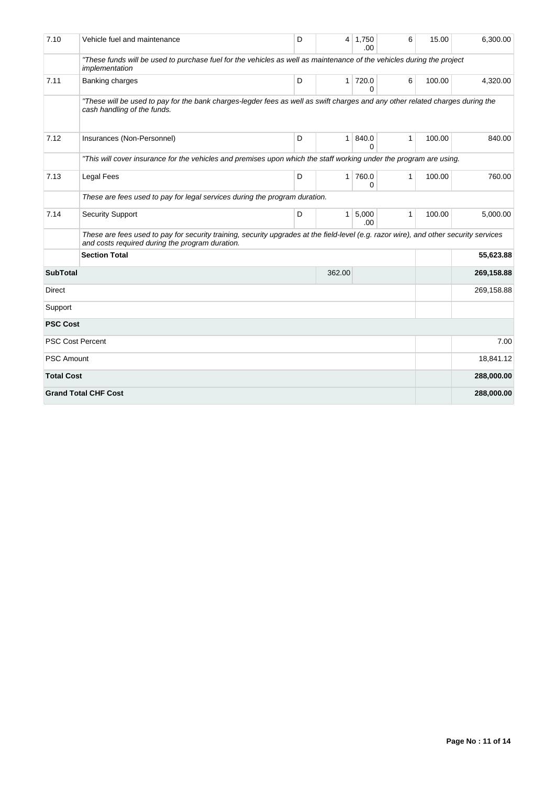| 7.10              | Vehicle fuel and maintenance                                                                                                                                                             | D | 4              | 1,750<br>.00          | 6            | 15.00  | 6,300.00   |  |  |  |
|-------------------|------------------------------------------------------------------------------------------------------------------------------------------------------------------------------------------|---|----------------|-----------------------|--------------|--------|------------|--|--|--|
|                   | "These funds will be used to purchase fuel for the vehicles as well as maintenance of the vehicles during the project<br>implementation                                                  |   |                |                       |              |        |            |  |  |  |
| 7.11              | Banking charges                                                                                                                                                                          | D | 1 <sup>1</sup> | 720.0<br>U            | 6            | 100.00 | 4,320.00   |  |  |  |
|                   | "These will be used to pay for the bank charges-legder fees as well as swift charges and any other related charges during the<br>cash handling of the funds.                             |   |                |                       |              |        |            |  |  |  |
| 7.12              | Insurances (Non-Personnel)                                                                                                                                                               | D | 1 <sup>1</sup> | 840.0<br><sup>0</sup> | 1            | 100.00 | 840.00     |  |  |  |
|                   | "This will cover insurance for the vehicles and premises upon which the staff working under the program are using.                                                                       |   |                |                       |              |        |            |  |  |  |
| 7.13              | <b>Legal Fees</b>                                                                                                                                                                        | D | $\mathbf{1}$   | 760.0<br>0            | $\mathbf{1}$ | 100.00 | 760.00     |  |  |  |
|                   | These are fees used to pay for legal services during the program duration.                                                                                                               |   |                |                       |              |        |            |  |  |  |
| 7.14              | <b>Security Support</b>                                                                                                                                                                  | D | $\mathbf{1}$   | 5,000<br>.00          | $\mathbf{1}$ | 100.00 | 5,000.00   |  |  |  |
|                   | These are fees used to pay for security training, security upgrades at the field-level (e.g. razor wire), and other security services<br>and costs required during the program duration. |   |                |                       |              |        |            |  |  |  |
|                   | <b>Section Total</b>                                                                                                                                                                     |   |                | 55,623.88             |              |        |            |  |  |  |
| <b>SubTotal</b>   |                                                                                                                                                                                          |   | 362.00         |                       |              |        | 269,158.88 |  |  |  |
| Direct            |                                                                                                                                                                                          |   |                | 269,158.88            |              |        |            |  |  |  |
| Support           |                                                                                                                                                                                          |   |                |                       |              |        |            |  |  |  |
| <b>PSC Cost</b>   |                                                                                                                                                                                          |   |                |                       |              |        |            |  |  |  |
|                   | <b>PSC Cost Percent</b>                                                                                                                                                                  |   |                | 7.00                  |              |        |            |  |  |  |
| <b>PSC Amount</b> |                                                                                                                                                                                          |   |                | 18,841.12             |              |        |            |  |  |  |
| <b>Total Cost</b> |                                                                                                                                                                                          |   |                |                       |              |        | 288,000.00 |  |  |  |
|                   | <b>Grand Total CHF Cost</b>                                                                                                                                                              |   |                |                       |              |        | 288,000.00 |  |  |  |